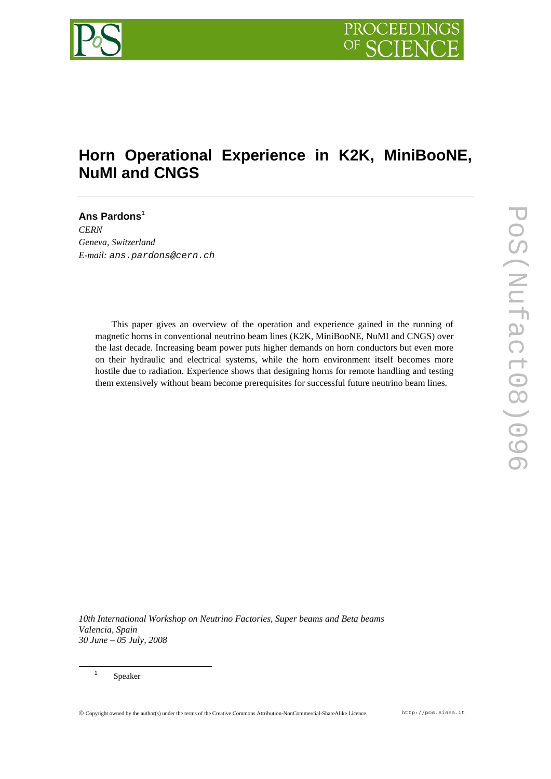

# **Horn Operational Experience in K2K, MiniBooNE, NuMI and CNGS**

**Ans Pardons<sup>1</sup>** *CERN Geneva, Switzerland E-mail: ans.pardons@cern.ch* 

> This paper gives an overview of the operation and experience gained in the running of magnetic horns in conventional neutrino beam lines (K2K, MiniBooNE, NuMI and CNGS) over the last decade. Increasing beam power puts higher demands on horn conductors but even more on their hydraulic and electrical systems, while the horn environment itself becomes more hostile due to radiation. Experience shows that designing horns for remote handling and testing them extensively without beam become prerequisites for successful future neutrino beam lines.

*10th International Workshop on Neutrino Factories, Super beams and Beta beams Valencia, Spain 30 June – 05 July, 2008*

Speaker

<sup>1</sup>

© Copyright owned by the author(s) under the terms of the Creative Commons Attribution-NonCommercial-ShareAlike Licence. http://pos.sissa.it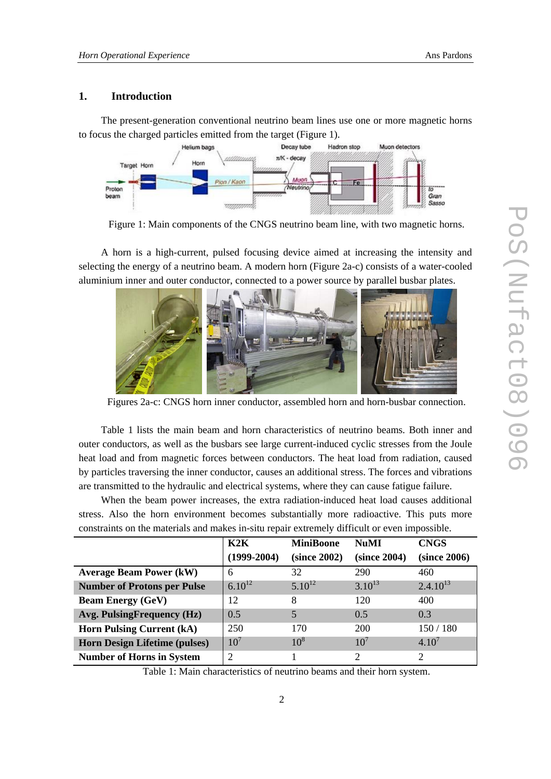# **1. Introduction**

The present-generation conventional neutrino beam lines use one or more magnetic horns to focus the charged particles emitted from the target (Figure 1).



Figure 1: Main components of the CNGS neutrino beam line, with two magnetic horns.

A horn is a high-current, pulsed focusing device aimed at increasing the intensity and selecting the energy of a neutrino beam. A modern horn (Figure 2a-c) consists of a water-cooled aluminium inner and outer conductor, connected to a power source by parallel busbar plates.



Figures 2a-c: CNGS horn inner conductor, assembled horn and horn-busbar connection.

Table 1 lists the main beam and horn characteristics of neutrino beams. Both inner and outer conductors, as well as the busbars see large current-induced cyclic stresses from the Joule heat load and from magnetic forces between conductors. The heat load from radiation, caused by particles traversing the inner conductor, causes an additional stress. The forces and vibrations are transmitted to the hydraulic and electrical systems, where they can cause fatigue failure.

When the beam power increases, the extra radiation-induced heat load causes additional stress. Also the horn environment becomes substantially more radioactive. This puts more constraints on the materials and makes in-situ repair extremely difficult or even impossible.

|                                      | K2K             | <b>MiniBoone</b> | <b>NuMI</b>  | <b>CNGS</b>                 |
|--------------------------------------|-----------------|------------------|--------------|-----------------------------|
|                                      | $(1999-2004)$   | (since 2002)     | (since 2004) | (since 2006)                |
| <b>Average Beam Power (kW)</b>       | 6               | 32               | 290          | 460                         |
| <b>Number of Protons per Pulse</b>   | $6.10^{12}$     | $5.10^{12}$      | $3.10^{13}$  | $2.4.10^{13}$               |
| <b>Beam Energy (GeV)</b>             | 12              | 8                | 120          | 400                         |
| Avg. PulsingFrequency (Hz)           | 0.5             | 5                | 0.5          | 0.3                         |
| <b>Horn Pulsing Current (kA)</b>     | 250             | 170              | 200          | 150 / 180                   |
| <b>Horn Design Lifetime (pulses)</b> | 10 <sup>7</sup> | 10 <sup>8</sup>  | $10^7$       | $4.10^{7}$                  |
| <b>Number of Horns in System</b>     | ∍               |                  | 2            | $\mathcal{D}_{\mathcal{A}}$ |

Table 1: Main characteristics of neutrino beams and their horn system.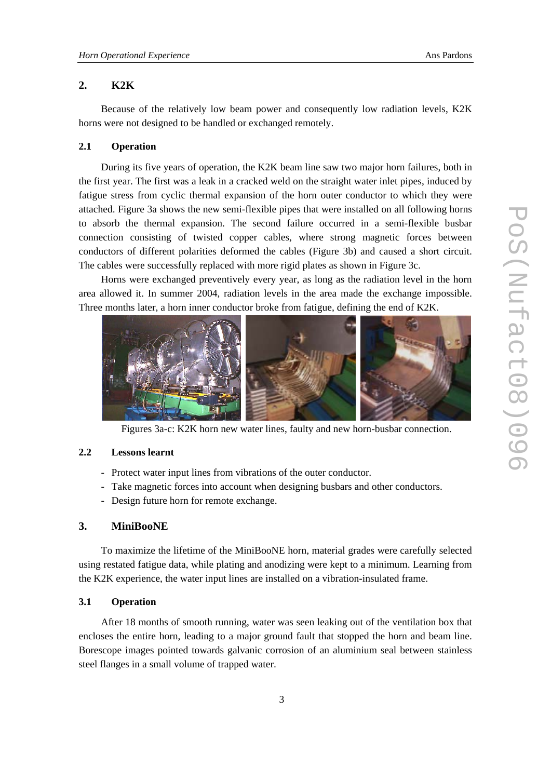# **2. K2K**

Because of the relatively low beam power and consequently low radiation levels, K2K horns were not designed to be handled or exchanged remotely.

# **2.1 Operation**

During its five years of operation, the K2K beam line saw two major horn failures, both in the first year. The first was a leak in a cracked weld on the straight water inlet pipes, induced by fatigue stress from cyclic thermal expansion of the horn outer conductor to which they were attached. Figure 3a shows the new semi-flexible pipes that were installed on all following horns to absorb the thermal expansion. The second failure occurred in a semi-flexible busbar connection consisting of twisted copper cables, where strong magnetic forces between conductors of different polarities deformed the cables (Figure 3b) and caused a short circuit. The cables were successfully replaced with more rigid plates as shown in Figure 3c.

Horns were exchanged preventively every year, as long as the radiation level in the horn area allowed it. In summer 2004, radiation levels in the area made the exchange impossible. Three months later, a horn inner conductor broke from fatigue, defining the end of K2K.



Figures 3a-c: K2K horn new water lines, faulty and new horn-busbar connection.

#### **2.2 Lessons learnt**

- Protect water input lines from vibrations of the outer conductor.
- Take magnetic forces into account when designing busbars and other conductors.
- Design future horn for remote exchange.

# **3. MiniBooNE**

To maximize the lifetime of the MiniBooNE horn, material grades were carefully selected using restated fatigue data, while plating and anodizing were kept to a minimum. Learning from the K2K experience, the water input lines are installed on a vibration-insulated frame.

# **3.1 Operation**

After 18 months of smooth running, water was seen leaking out of the ventilation box that encloses the entire horn, leading to a major ground fault that stopped the horn and beam line. Borescope images pointed towards galvanic corrosion of an aluminium seal between stainless steel flanges in a small volume of trapped water.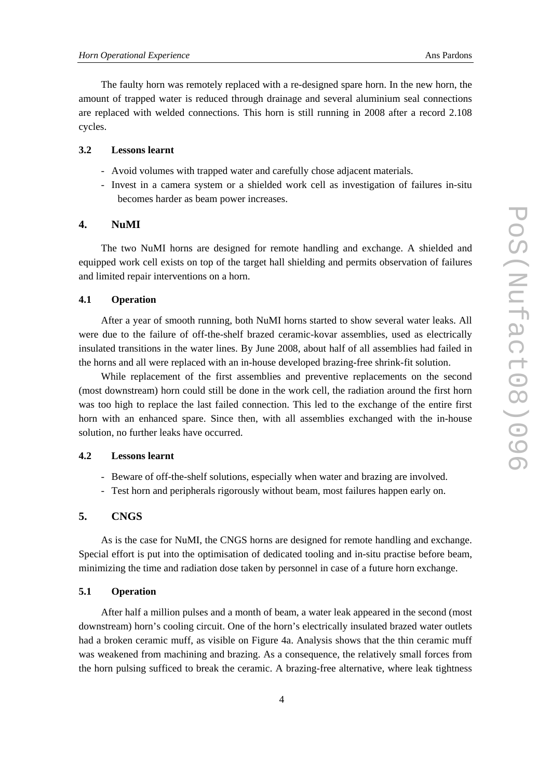The faulty horn was remotely replaced with a re-designed spare horn. In the new horn, the amount of trapped water is reduced through drainage and several aluminium seal connections are replaced with welded connections. This horn is still running in 2008 after a record 2.108 cycles.

### **3.2 Lessons learnt**

- Avoid volumes with trapped water and carefully chose adjacent materials.
- Invest in a camera system or a shielded work cell as investigation of failures in-situ becomes harder as beam power increases.

### **4. NuMI**

The two NuMI horns are designed for remote handling and exchange. A shielded and equipped work cell exists on top of the target hall shielding and permits observation of failures and limited repair interventions on a horn.

# **4.1 Operation**

After a year of smooth running, both NuMI horns started to show several water leaks. All were due to the failure of off-the-shelf brazed ceramic-kovar assemblies, used as electrically insulated transitions in the water lines. By June 2008, about half of all assemblies had failed in the horns and all were replaced with an in-house developed brazing-free shrink-fit solution.

While replacement of the first assemblies and preventive replacements on the second (most downstream) horn could still be done in the work cell, the radiation around the first horn was too high to replace the last failed connection. This led to the exchange of the entire first horn with an enhanced spare. Since then, with all assemblies exchanged with the in-house solution, no further leaks have occurred.

# **4.2 Lessons learnt**

- Beware of off-the-shelf solutions, especially when water and brazing are involved.
- Test horn and peripherals rigorously without beam, most failures happen early on.

### **5. CNGS**

As is the case for NuMI, the CNGS horns are designed for remote handling and exchange. Special effort is put into the optimisation of dedicated tooling and in-situ practise before beam, minimizing the time and radiation dose taken by personnel in case of a future horn exchange.

#### **5.1 Operation**

After half a million pulses and a month of beam, a water leak appeared in the second (most downstream) horn's cooling circuit. One of the horn's electrically insulated brazed water outlets had a broken ceramic muff, as visible on Figure 4a. Analysis shows that the thin ceramic muff was weakened from machining and brazing. As a consequence, the relatively small forces from the horn pulsing sufficed to break the ceramic. A brazing-free alternative, where leak tightness